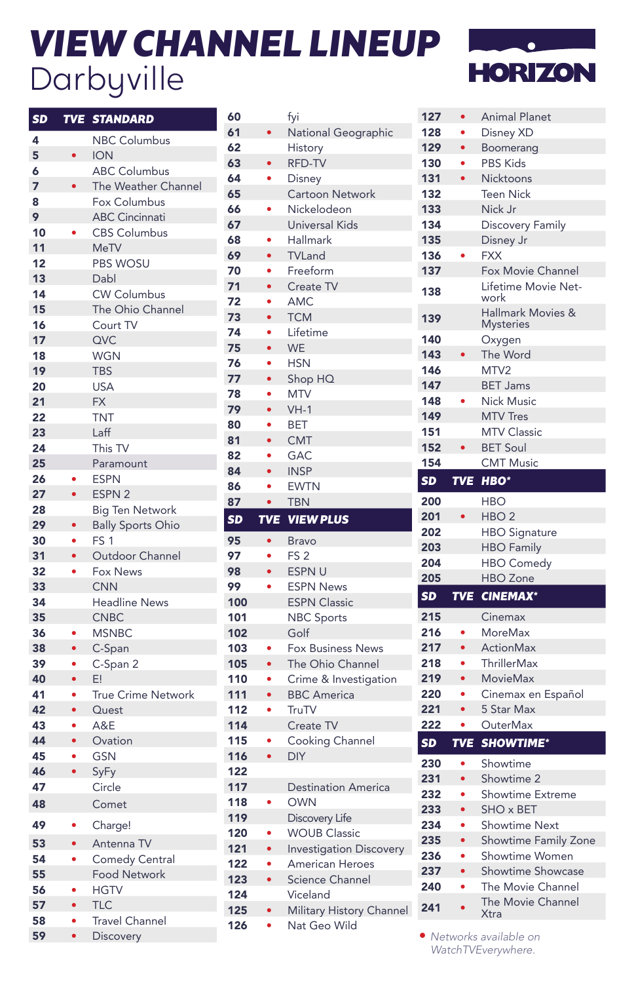## *VIEW CHANNEL LINEUP* Darbyville



| <b>SD</b> | <b>TVE</b> | <b>STANDARD</b>           |
|-----------|------------|---------------------------|
|           |            |                           |
| 4         |            | <b>NBC Columbus</b>       |
| 5         | $\bullet$  | <b>ION</b>                |
| 6         |            | <b>ABC Columbus</b>       |
| 7         |            | The Weather Channel       |
| 8         |            | Fox Columbus              |
| 9         |            | <b>ABC Cincinnati</b>     |
| 10        |            | <b>CBS Columbus</b>       |
| 11        |            | <b>MeTV</b>               |
| 12        |            | <b>PBS WOSU</b>           |
| 13        |            | Dabl                      |
| 14        |            | <b>CW Columbus</b>        |
| 15        |            | The Ohio Channel          |
| 16        |            | Court TV                  |
| 17        |            | QVC                       |
| 18        |            | <b>WGN</b>                |
| 19        |            | TBS                       |
| 20        |            | <b>USA</b>                |
| 21        |            | <b>FX</b>                 |
| 22        |            | <b>TNT</b>                |
| 23        |            | Laff                      |
| 24        |            | This TV                   |
| 25        |            | Paramount                 |
| 26        |            | <b>ESPN</b>               |
| 27        | $\bullet$  | ESPN <sub>2</sub>         |
| 28        |            | <b>Big Ten Network</b>    |
| 29        | $\bullet$  | <b>Bally Sports Ohio</b>  |
| 30        | ٠          | FS <sub>1</sub>           |
| 31        | $\bullet$  | Outdoor Channel           |
| 32        | ۰          | Fox News                  |
| 33        |            | <b>CNN</b>                |
| 34        |            | <b>Headline News</b>      |
| 35        |            | <b>CNBC</b>               |
| 36        |            | <b>MSNBC</b>              |
| 38        | $\bullet$  | C-Span                    |
| 39        | ٠          | C-Span 2                  |
| 40        |            | E!                        |
| 41        |            | <b>True Crime Network</b> |
| 42        | $\bullet$  | Quest                     |
| 43        | $\bullet$  | A&E                       |
| 44        | $\bullet$  | Ovation                   |
| 45        | $\bullet$  | <b>GSN</b>                |
| 46        | $\bullet$  | SyFy                      |
| 47        |            | Circle                    |
| 48        |            | Comet                     |
| 49        |            | Charge!                   |
| 53        | $\bullet$  | Antenna TV                |
| 54        | $\bullet$  | <b>Comedy Central</b>     |
| 55        |            | <b>Food Network</b>       |
| 56        | ۰          | <b>HGTV</b>               |
| 57        | $\bullet$  | <b>TLC</b>                |
| 58        | $\bullet$  | <b>Travel Channel</b>     |
| 59        |            | Discovery                 |

| 60         |                | fyi                                       |
|------------|----------------|-------------------------------------------|
| 61         | $\bullet$      | National Geographic                       |
| 62         |                | History                                   |
| 63         | $\bullet$      | RFD-TV                                    |
| 64         |                | Disney                                    |
| 65         |                | <b>Cartoon Network</b>                    |
| 66         | $\bullet$      | Nickelodeon                               |
| 67         |                | <b>Universal Kids</b>                     |
| 68         |                |                                           |
|            |                | Hallmark                                  |
| 69         | $\bullet$      | <b>TVLand</b>                             |
| 70         | $\bullet$      | Freeform                                  |
| 71         | $\bullet$      | Create TV                                 |
| 72         | $\bullet$      | AMC                                       |
| 73         |                | <b>TCM</b>                                |
| 74         |                | Lifetime                                  |
| 75         | $\bullet$      | <b>WE</b>                                 |
| 76         |                | <b>HSN</b>                                |
| 77         | $\bullet$      | Shop HQ                                   |
| 78         | $\bullet$      | <b>MTV</b>                                |
| 79         |                | $VH-1$                                    |
| 80         | $\bullet$      | BET                                       |
| 81         | $\bullet$      | <b>CMT</b>                                |
| 82         | $\bullet$      | <b>GAC</b>                                |
| 84         |                | <b>INSP</b>                               |
| 86         |                | <b>EWTN</b>                               |
| 87         | $\bullet$      | <b>TBN</b>                                |
| <u>SD</u>  | <b>TVE</b>     | <b>VIEW PLUS</b>                          |
|            |                |                                           |
|            |                |                                           |
| 95         | $\bullet$      | Bravo                                     |
| 97         | $\bullet$      | FS <sub>2</sub>                           |
| 98         | $\bullet$      | ESPN U                                    |
| 99         |                | <b>ESPN News</b>                          |
| 100        |                | <b>ESPN Classic</b>                       |
| 101        |                | <b>NBC Sports</b>                         |
| 102        |                | Golf                                      |
| 103        |                | <b>Fox Business News</b>                  |
| 105        |                |                                           |
| 110        |                | The Ohio Channel<br>Crime & Investigation |
|            | $\bullet$      |                                           |
| 111        | $\bullet$      | <b>BBC</b> America<br>TruTV               |
|            |                |                                           |
| 112<br>114 |                | Create TV                                 |
| 115        | $\bullet$      | Cooking Channel                           |
| 116        |                | <b>DIY</b>                                |
| 122        |                |                                           |
| 117        |                | <b>Destination America</b>                |
| 118        | ¢              | <b>OWN</b>                                |
| 119        |                | <b>Discovery Life</b>                     |
| 120        |                | <b>WOUB Classic</b>                       |
| 121        | $\bullet$      | <b>Investigation Discovery</b>            |
| 122        | $\bullet$      | <b>American Heroes</b>                    |
| 123        |                | <b>Science Channel</b>                    |
| 124        |                | Viceland                                  |
| 125<br>126 | $\bullet$<br>ė | Military History Channel<br>Nat Geo Wild  |

| 127       | $\bullet$       | <b>Animal Planet</b>                             |
|-----------|-----------------|--------------------------------------------------|
| 128       | ò               | Disney XD                                        |
| 129       | $\bullet$       | Boomerang                                        |
| 130       | ò               | <b>PBS Kids</b>                                  |
| 131       |                 | Nicktoons                                        |
| 132       |                 | <b>Teen Nick</b>                                 |
| 133       |                 | Nick Jr                                          |
| 134       |                 | <b>Discovery Family</b>                          |
| 135       |                 | Disney Jr                                        |
| 136       |                 | <b>FXX</b>                                       |
| 137       |                 | Fox Movie Channel                                |
| 138       |                 | Lifetime Movie Net-<br>work                      |
| 139       |                 | <b>Hallmark Movies &amp;</b><br><b>Mysteries</b> |
| 140       |                 | Oxygen                                           |
| 143       |                 | The Word                                         |
| 146       |                 | MTV2                                             |
| 147       |                 | <b>BET Jams</b>                                  |
| 148       |                 | <b>Nick Music</b>                                |
| 149       |                 | <b>MTV Tres</b>                                  |
| 151       |                 | <b>MTV Classic</b>                               |
| 152       |                 | <b>BET Soul</b>                                  |
| 154       |                 | <b>CMT Music</b>                                 |
| SD        | <b>TVE</b>      | HBO <sup>*</sup>                                 |
| 200       |                 | <b>HBO</b>                                       |
|           |                 |                                                  |
| 201       |                 | HBO <sub>2</sub>                                 |
| 202       |                 |                                                  |
| 203       |                 | <b>HBO</b> Signature<br><b>HBO Family</b>        |
| 204       |                 | <b>HBO Comedy</b>                                |
| 205       |                 | <b>HBO</b> Zone                                  |
| SD        | <b>TVE</b>      | <b>CINEMAX*</b>                                  |
|           |                 |                                                  |
| 215       |                 | Cinemax                                          |
| 216       |                 | <b>MoreMax</b>                                   |
| 217       | $\bullet$       | <b>ActionMax</b>                                 |
| 218       |                 | <b>ThrillerMax</b>                               |
| 219       | $\bullet$       | <b>MovieMax</b>                                  |
| 220       | $\bullet$       | Cinemax en Español                               |
| 221       |                 | 5 Star Max                                       |
| 222<br>SD | ۰<br><b>TVE</b> | OuterMax<br><b>SHOWTIME*</b>                     |
| 230       | ٠               |                                                  |
| 231       |                 | Showtime                                         |
| 232       | $\bullet$<br>٠  | Showtime 2<br><b>Showtime Extreme</b>            |
| 233       | $\bullet$       | SHO x BET                                        |
| 234       | $\bullet$       | <b>Showtime Next</b>                             |
| 235       | $\bullet$       | Showtime Family Zone                             |
| 236       |                 | Showtime Women                                   |
| 237       | $\bullet$       | Showtime Showcase                                |
| 240       | ۰               | The Movie Channel                                |

• *Networks available on WatchTVEverywhere.*